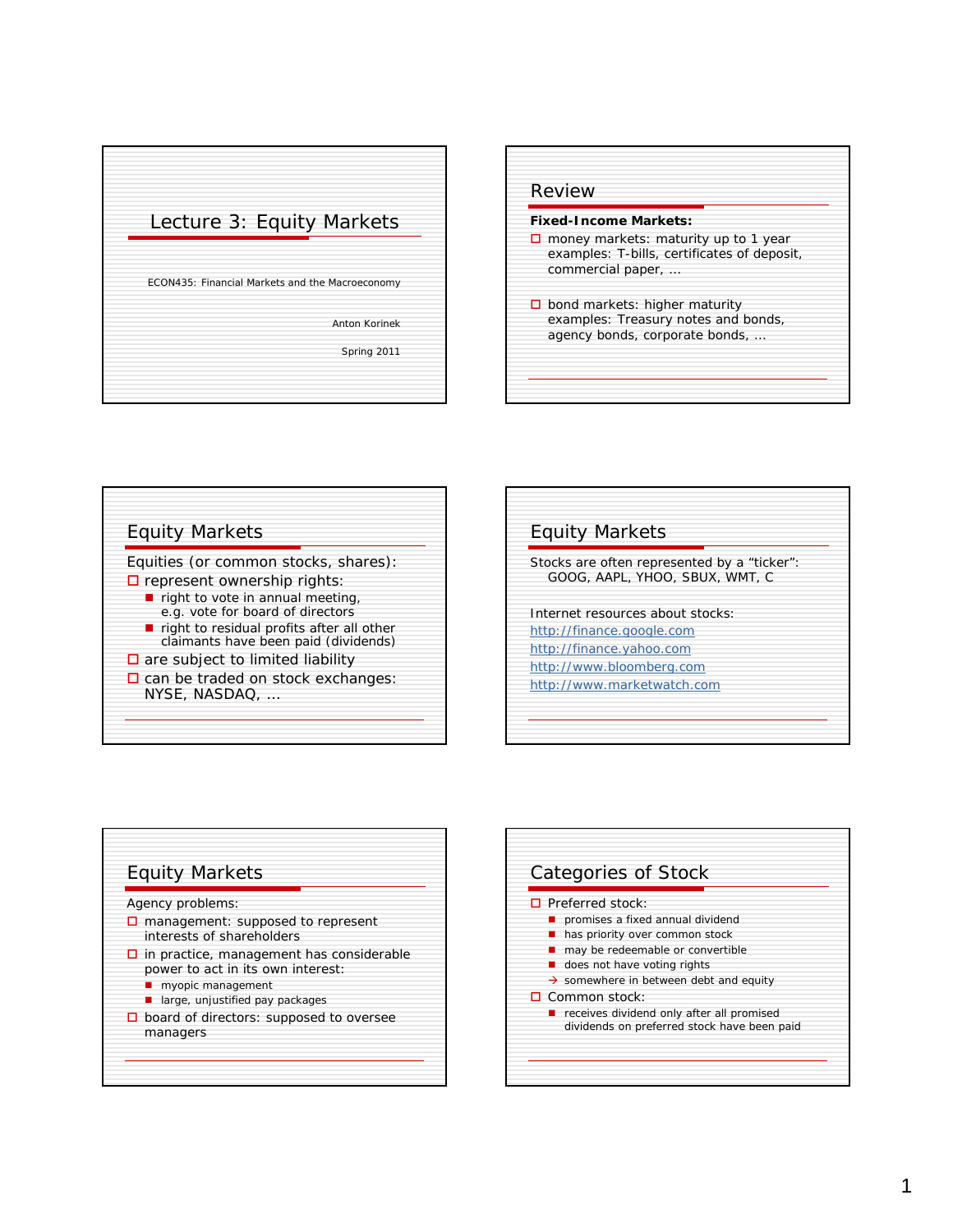



## Equity Markets Equities (or common stocks, shares):  $\square$  represent ownership rights:  $\blacksquare$  right to vote in annual meeting, e.g. vote for board of directors  $\blacksquare$  right to residual profits after all other claimants have been paid (dividends)  $\square$  are subject to limited liability  $\square$  can be traded on stock exchanges: NYSE, NASDAQ, …

| Stocks are often represented by a "ticker":<br>GOOG, AAPL, YHOO, SBUX, WMT, C |                                  |  |
|-------------------------------------------------------------------------------|----------------------------------|--|
|                                                                               | Internet resources about stocks: |  |
|                                                                               | http://finance.google.com        |  |
|                                                                               | http://finance.yahoo.com         |  |
|                                                                               | http://www.bloomberg.com         |  |
|                                                                               | http://www.marketwatch.com       |  |



| $\Box$ Preferred stock:                            |
|----------------------------------------------------|
| promises a fixed annual dividend                   |
| has priority over common stock                     |
| may be redeemable or convertible                   |
| does not have voting rights                        |
| $\rightarrow$ somewhere in between debt and equity |
| $\Box$ Common stock:                               |
| receives dividend only after all promised          |
| dividends on preferred stock have been paid        |